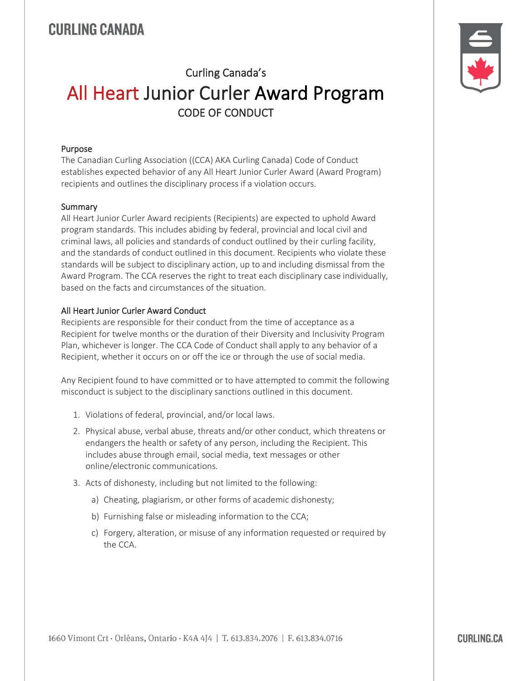## CURLING CANADA

# Curling Canada's All Heart Junior Curler Award Program CODE OF CONDUCT

#### Purpose

The Canadian Curling Association ((CCA) AKA Curling Canada) Code of Conduct establishes expected behavior of any All Heart Junior Curler Award (Award Program) recipients and outlines the disciplinary process if a violation occurs.

#### **Summary**

All Heart Junior Curler Award recipients (Recipients) are expected to uphold Award program standards. This includes abiding by federal, provincial and local civil and criminal laws, all policies and standards of conduct outlined by their curling facility, and the standards of conduct outlined in this document. Recipients who violate these standards will be subject to disciplinary action, up to and including dismissal from the Award Program. The CCA reserves the right to treat each disciplinary case individually, based on the facts and circumstances of the situation.

#### All Heart Junior Curler Award Conduct

Recipients are responsible for their conduct from the time of acceptance as a Recipient for twelve months or the duration of their Diversity and Inclusivity Program Plan, whichever is longer. The CCA Code of Conduct shall apply to any behavior of a Recipient, whether it occurs on or off the ice or through the use of social media.

Any Recipient found to have committed or to have attempted to commit the following misconduct is subject to the disciplinary sanctions outlined in this document.

- 1. Violations of federal, provincial, and/or local laws.
- 2. Physical abuse, verbal abuse, threats and/or other conduct, which threatens or endangers the health or safety of any person, including the Recipient. This includes abuse through email, social media, text messages or other online/electronic communications.
- 3. Acts of dishonesty, including but not limited to the following:
	- a) Cheating, plagiarism, or other forms of academic dishonesty;
	- b) Furnishing false or misleading information to the CCA;
	- c) Forgery, alteration, or misuse of any information requested or required by the CCA.



**CURLING CA**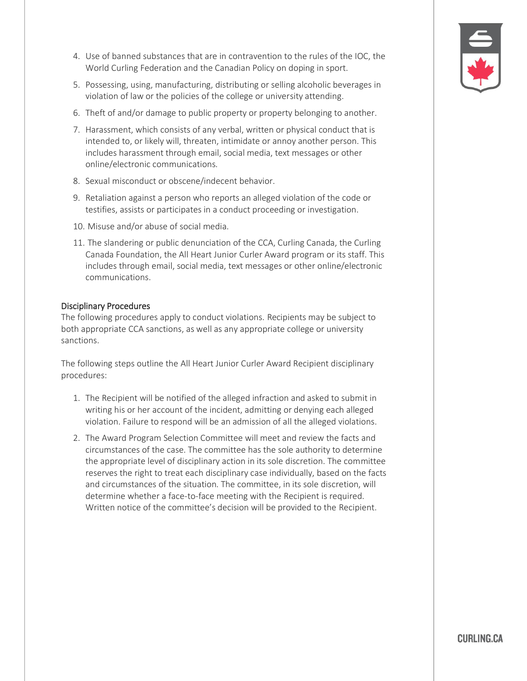

- 4. Use of banned substances that are in contravention to the rules of the IOC, the World Curling Federation and the Canadian Policy on doping in sport.
- 5. Possessing, using, manufacturing, distributing or selling alcoholic beverages in violation of law or the policies of the college or university attending.
- 6. Theft of and/or damage to public property or property belonging to another.
- 7. Harassment, which consists of any verbal, written or physical conduct that is intended to, or likely will, threaten, intimidate or annoy another person. This includes harassment through email, social media, text messages or other online/electronic communications.
- 8. Sexual misconduct or obscene/indecent behavior.
- 9. Retaliation against a person who reports an alleged violation of the code or testifies, assists or participates in a conduct proceeding or investigation.
- 10. Misuse and/or abuse of social media.
- 11. The slandering or public denunciation of the CCA, Curling Canada, the Curling Canada Foundation, the All Heart Junior Curler Award program or its staff. This includes through email, social media, text messages or other online/electronic communications.

#### Disciplinary Procedures

The following procedures apply to conduct violations. Recipients may be subject to both appropriate CCA sanctions, as well as any appropriate college or university sanctions.

The following steps outline the All Heart Junior Curler Award Recipient disciplinary procedures:

- 1. The Recipient will be notified of the alleged infraction and asked to submit in writing his or her account of the incident, admitting or denying each alleged violation. Failure to respond will be an admission of all the alleged violations.
- 2. The Award Program Selection Committee will meet and review the facts and circumstances of the case. The committee has the sole authority to determine the appropriate level of disciplinary action in its sole discretion. The committee reserves the right to treat each disciplinary case individually, based on the facts and circumstances of the situation. The committee, in its sole discretion, will determine whether a face-to-face meeting with the Recipient is required. Written notice of the committee's decision will be provided to the Recipient.